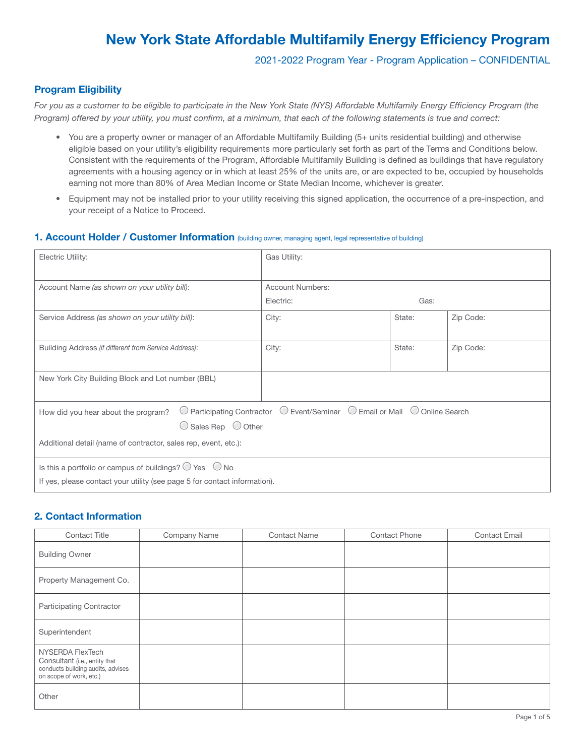## 2021-2022 Program Year - Program Application – CONFIDENTIAL

## Program Eligibility

*For you as a customer to be eligible to participate in the New York State (NYS) Affordable Multifamily Energy Efficiency Program (the Program) offered by your utility, you must confirm, at a minimum, that each of the following statements is true and correct:*

- You are a property owner or manager of an Affordable Multifamily Building (5+ units residential building) and otherwise eligible based on your utility's eligibility requirements more particularly set forth as part of the Terms and Conditions below. Consistent with the requirements of the Program, Affordable Multifamily Building is defined as buildings that have regulatory agreements with a housing agency or in which at least 25% of the units are, or are expected to be, occupied by households earning not more than 80% of Area Median Income or State Median Income, whichever is greater.
- Equipment may not be installed prior to your utility receiving this signed application, the occurrence of a pre-inspection, and your receipt of a Notice to Proceed.

## 1. Account Holder / Customer Information (building owner, managing agent, legal representative of building)

| Electric Utility:                                                                                                                                    | Gas Utility:            |        |           |
|------------------------------------------------------------------------------------------------------------------------------------------------------|-------------------------|--------|-----------|
|                                                                                                                                                      |                         |        |           |
| Account Name (as shown on your utility bill):                                                                                                        | <b>Account Numbers:</b> |        |           |
|                                                                                                                                                      | Electric:               | Gas:   |           |
| Service Address (as shown on your utility bill):                                                                                                     | City:                   | State: | Zip Code: |
|                                                                                                                                                      |                         |        |           |
| Building Address (if different from Service Address):                                                                                                | City:                   | State: | Zip Code: |
|                                                                                                                                                      |                         |        |           |
| New York City Building Block and Lot number (BBL)                                                                                                    |                         |        |           |
|                                                                                                                                                      |                         |        |           |
| $\bigcirc$ Event/Seminar $\bigcirc$ Email or Mail $\bigcirc$ Online Search<br><b>Participating Contractor</b><br>How did you hear about the program? |                         |        |           |
| $\bigcirc$ Sales Rep $\bigcirc$ Other                                                                                                                |                         |        |           |
| Additional detail (name of contractor, sales rep, event, etc.):                                                                                      |                         |        |           |
|                                                                                                                                                      |                         |        |           |
| Is this a portfolio or campus of buildings? $\bigcirc$ Yes $\bigcirc$ No                                                                             |                         |        |           |
| If yes, please contact your utility (see page 5 for contact information).                                                                            |                         |        |           |

## 2. Contact Information

| <b>Contact Title</b>                                                                                              | Company Name | <b>Contact Name</b> | <b>Contact Phone</b> | <b>Contact Email</b> |
|-------------------------------------------------------------------------------------------------------------------|--------------|---------------------|----------------------|----------------------|
| <b>Building Owner</b>                                                                                             |              |                     |                      |                      |
| Property Management Co.                                                                                           |              |                     |                      |                      |
| <b>Participating Contractor</b>                                                                                   |              |                     |                      |                      |
| Superintendent                                                                                                    |              |                     |                      |                      |
| NYSERDA FlexTech<br>Consultant (i.e., entity that<br>conducts building audits, advises<br>on scope of work, etc.) |              |                     |                      |                      |
| Other                                                                                                             |              |                     |                      |                      |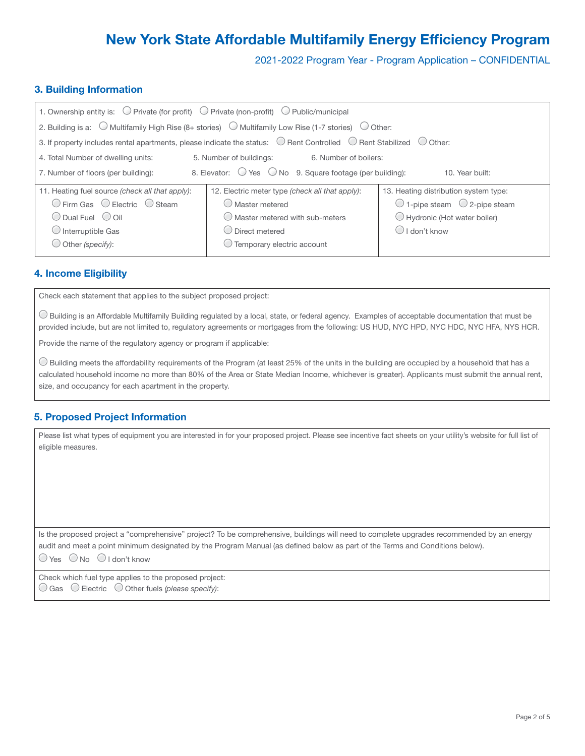2021-2022 Program Year - Program Application – CONFIDENTIAL

## 3. Building Information

| 1. Ownership entity is: $\bigcirc$ Private (for profit) $\bigcirc$ Private (non-profit) $\bigcirc$ Public/municipal                            |                                                                                                                                 |                                                 |  |
|------------------------------------------------------------------------------------------------------------------------------------------------|---------------------------------------------------------------------------------------------------------------------------------|-------------------------------------------------|--|
|                                                                                                                                                | 2. Building is a: $\bigcirc$ Multifamily High Rise (8+ stories) $\bigcirc$ Multifamily Low Rise (1-7 stories) $\bigcirc$ Other: |                                                 |  |
| 3. If property includes rental apartments, please indicate the status: $\bigcirc$ Rent Controlled $\bigcirc$ Rent Stabilized $\bigcirc$ Other: |                                                                                                                                 |                                                 |  |
| 4. Total Number of dwelling units:<br>5. Number of buildings:<br>6. Number of boilers:                                                         |                                                                                                                                 |                                                 |  |
| 8. Elevator: $\bigcirc$ Yes $\bigcirc$ No 9. Square footage (per building):<br>7. Number of floors (per building):<br>10. Year built:          |                                                                                                                                 |                                                 |  |
| 11. Heating fuel source (check all that apply):                                                                                                | 12. Electric meter type (check all that apply):                                                                                 | 13. Heating distribution system type:           |  |
| $\bigcirc$ Firm Gas $\bigcirc$ Electric $\bigcirc$ Steam                                                                                       | $\bigcirc$ Master metered                                                                                                       | $\bigcirc$ 1-pipe steam $\bigcirc$ 2-pipe steam |  |
| $\bigcirc$ Dual Fuel $\bigcirc$ Oil                                                                                                            | $\bigcirc$ Master metered with sub-meters                                                                                       | Hydronic (Hot water boiler)                     |  |
| $\bigcirc$ Interruptible Gas                                                                                                                   | $\bigcirc$ Direct metered                                                                                                       | $\bigcirc$ I don't know                         |  |
| $\bigcirc$ Other (specify):                                                                                                                    | $\bigcirc$ Temporary electric account                                                                                           |                                                 |  |

## 4. Income Eligibility

Check each statement that applies to the subject proposed project:

Building is an Affordable Multifamily Building regulated by a local, state, or federal agency. Examples of acceptable documentation that must be provided include, but are not limited to, regulatory agreements or mortgages from the following: US HUD, NYC HPD, NYC HDC, NYC HFA, NYS HCR.

Provide the name of the regulatory agency or program if applicable:

 Building meets the affordability requirements of the Program (at least 25% of the units in the building are occupied by a household that has a calculated household income no more than 80% of the Area or State Median Income, whichever is greater). Applicants must submit the annual rent, size, and occupancy for each apartment in the property.

## 5. Proposed Project Information

Please list what types of equipment you are interested in for your proposed project. Please see incentive fact sheets on your utility's website for full list of eligible measures.

Is the proposed project a "comprehensive" project? To be comprehensive, buildings will need to complete upgrades recommended by an energy audit and meet a point minimum designated by the Program Manual (as defined below as part of the Terms and Conditions below).

 $\bigcirc$  Yes  $\bigcirc$  No  $\bigcirc$  I don't know

Check which fuel type applies to the proposed project: Gas Electric Other fuels *(please specify)*: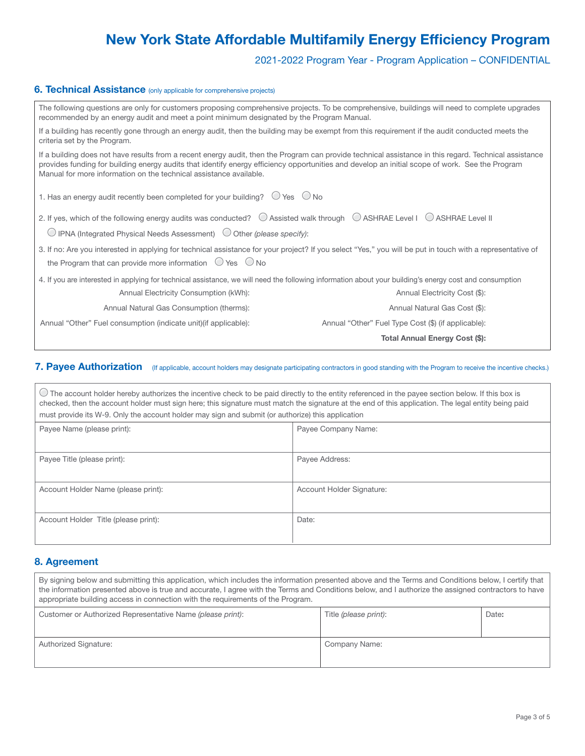2021-2022 Program Year - Program Application – CONFIDENTIAL

## **6. Technical Assistance** (only applicable for comprehensive projects)

| The following questions are only for customers proposing comprehensive projects. To be comprehensive, buildings will need to complete upgrades<br>recommended by an energy audit and meet a point minimum designated by the Program Manual.                                                                                                                                     |                                                     |  |  |
|---------------------------------------------------------------------------------------------------------------------------------------------------------------------------------------------------------------------------------------------------------------------------------------------------------------------------------------------------------------------------------|-----------------------------------------------------|--|--|
| If a building has recently gone through an energy audit, then the building may be exempt from this requirement if the audit conducted meets the<br>criteria set by the Program.                                                                                                                                                                                                 |                                                     |  |  |
| If a building does not have results from a recent energy audit, then the Program can provide technical assistance in this regard. Technical assistance<br>provides funding for building energy audits that identify energy efficiency opportunities and develop an initial scope of work. See the Program<br>Manual for more information on the technical assistance available. |                                                     |  |  |
| 1. Has an energy audit recently been completed for your building? $\bigcirc$ Yes $\bigcirc$ No                                                                                                                                                                                                                                                                                  |                                                     |  |  |
| 2. If yes, which of the following energy audits was conducted? © Assisted walk through © ASHRAE Level I © ASHRAE Level II                                                                                                                                                                                                                                                       |                                                     |  |  |
| $\bigcirc$ IPNA (Integrated Physical Needs Assessment) $\bigcirc$ Other (please specify):                                                                                                                                                                                                                                                                                       |                                                     |  |  |
| 3. If no: Are you interested in applying for technical assistance for your project? If you select "Yes," you will be put in touch with a representative of<br>the Program that can provide more information $\circledcirc$ Yes $\circledcirc$ No                                                                                                                                |                                                     |  |  |
| 4. If you are interested in applying for technical assistance, we will need the following information about your building's energy cost and consumption                                                                                                                                                                                                                         |                                                     |  |  |
| Annual Electricity Consumption (kWh):                                                                                                                                                                                                                                                                                                                                           | Annual Electricity Cost (\$):                       |  |  |
| Annual Natural Gas Consumption (therms):                                                                                                                                                                                                                                                                                                                                        | Annual Natural Gas Cost (\$):                       |  |  |
| Annual "Other" Fuel consumption (indicate unit) (if applicable):                                                                                                                                                                                                                                                                                                                | Annual "Other" Fuel Type Cost (\$) (if applicable): |  |  |
|                                                                                                                                                                                                                                                                                                                                                                                 | Total Annual Energy Cost (\$):                      |  |  |

## 7. Payee Authorization (If applicable, account holders may designate participating contractors in good standing with the Program to receive the incentive checks.)

The account holder hereby authorizes the incentive check to be paid directly to the entity referenced in the payee section below. If this box is checked, then the account holder must sign here; this signature must match the signature at the end of this application. The legal entity being paid must provide its W-9. Only the account holder may sign and submit (or authorize) this application

| Payee Name (please print):           | Payee Company Name:       |
|--------------------------------------|---------------------------|
| Payee Title (please print):          | Payee Address:            |
| Account Holder Name (please print):  | Account Holder Signature: |
| Account Holder Title (please print): | Date:                     |

## 8. Agreement

| By signing below and submitting this application, which includes the information presented above and the Terms and Conditions below, I certify that<br>the information presented above is true and accurate, I agree with the Terms and Conditions below, and I authorize the assigned contractors to have<br>appropriate building access in connection with the requirements of the Program. |                       |       |  |
|-----------------------------------------------------------------------------------------------------------------------------------------------------------------------------------------------------------------------------------------------------------------------------------------------------------------------------------------------------------------------------------------------|-----------------------|-------|--|
| Customer or Authorized Representative Name (please print):                                                                                                                                                                                                                                                                                                                                    | Title (please print): | Date: |  |
|                                                                                                                                                                                                                                                                                                                                                                                               |                       |       |  |
| Authorized Signature:                                                                                                                                                                                                                                                                                                                                                                         | Company Name:         |       |  |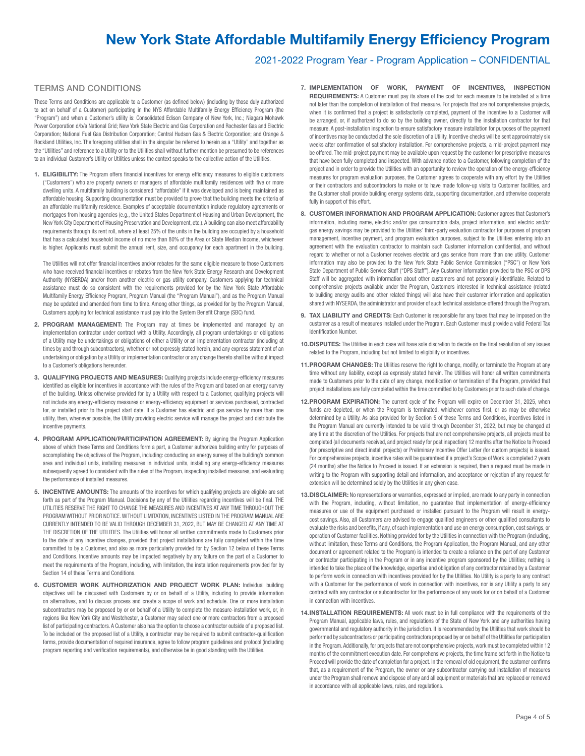## 2021-2022 Program Year - Program Application – CONFIDENTIAL

### TERMS AND CONDITIONS

These Terms and Conditions are applicable to a Customer (as defined below) (including by those duly authorized to act on behalf of a Customer) participating in the NYS Affordable Multifamily Energy Efficiency Program (the "Program") and when a Customer's utility is: Consolidated Edison Company of New York, Inc.; Niagara Mohawk Power Corporation d/b/a National Grid; New York State Electric and Gas Corporation and Rochester Gas and Electric Corporation; National Fuel Gas Distribution Corporation; Central Hudson Gas & Electric Corporation; and Orange & Rockland Utilities, Inc. The foregoing utilities shall in the singular be referred to herein as a "Utility" and together as the "Utilities" and reference to a Utility or to the Utilities shall without further mention be presumed to be references to an individual Customer's Utility or Utilities unless the context speaks to the collective action of the Utilities.

1. ELIGIBILITY: The Program offers financial incentives for energy efficiency measures to eligible customers ("Customers") who are property owners or managers of affordable multifamily residences with five or more dwelling units. A multifamily building is considered "affordable" if it was developed and is being maintained as affordable housing. Supporting documentation must be provided to prove that the building meets the criteria of an affordable multifamily residence. Examples of acceptable documentation include regulatory agreements or mortgages from housing agencies (e.g., the United States Department of Housing and Urban Development, the New York City Department of Housing Preservation and Development, etc.). A building can also meet affordability requirements through its rent roll, where at least 25% of the units in the building are occupied by a household that has a calculated household income of no more than 80% of the Area or State Median Income, whichever is higher. Applicants must submit the annual rent, size, and occupancy for each apartment in the building.

The Utilities will not offer financial incentives and/or rebates for the same eligible measure to those Customers who have received financial incentives or rebates from the New York State Energy Research and Development Authority (NYSERDA) and/or from another electric or gas utility company. Customers applying for technical assistance must do so consistent with the requirements provided for by the New York State Affordable Multifamily Energy Efficiency Program, Program Manual (the "Program Manual"), and as the Program Manual may be updated and amended from time to time. Among other things, as provided for by the Program Manual, Customers applying for technical assistance must pay into the System Benefit Charge (SBC) fund.

- 2. PROGRAM MANAGEMENT: The Program may at times be implemented and managed by an implementation contractor under contract with a Utility. Accordingly, all program undertakings or obligations of a Utility may be undertakings or obligations of either a Utility or an implementation contractor (including at times by and through subcontractors), whether or not expressly stated herein, and any express statement of an undertaking or obligation by a Utility or implementation contractor or any change thereto shall be without impact to a Customer's obligations hereunder.
- 3. QUALIFYING PROJECTS AND MEASURES: Qualifying projects include energy-efficiency measures identified as eligible for incentives in accordance with the rules of the Program and based on an energy survey of the building. Unless otherwise provided for by a Utility with respect to a Customer, qualifying projects will not include any energy-efficiency measures or energy-efficiency equipment or services purchased, contracted for, or installed prior to the project start date. If a Customer has electric and gas service by more than one utility, then, whenever possible, the Utility providing electric service will manage the project and distribute the incentive payments.
- 4. PROGRAM APPLICATION/PARTICIPATION AGREEMENT: By signing the Program Application above of which these Terms and Conditions form a part, a Customer authorizes building entry for purposes of accomplishing the objectives of the Program, including: conducting an energy survey of the building's common area and individual units, installing measures in individual units, installing any energy-efficiency measures subsequently agreed to consistent with the rules of the Program, inspecting installed measures, and evaluating the performance of installed measures.
- 5. INCENTIVE AMOUNTS: The amounts of the incentives for which qualifying projects are eligible are set forth as part of the Program Manual. Decisions by any of the Utilities regarding incentives will be final. THE UTILITIES RESERVE THE RIGHT TO CHANGE THE MEASURES AND INCENTIVES AT ANY TIME THROUGHOUT THE PROGRAM WITHOUT PRIOR NOTICE. WITHOUT LIMITATION, INCENTIVES LISTED IN THE PROGRAM MANUAL ARE CURRENTLY INTENDED TO BE VALID THROUGH DECEMBER 31, 2022, BUT MAY BE CHANGED AT ANY TIME AT THE DISCRETION OF THE UTILITIES. The Utilities will honor all written commitments made to Customers prior to the date of any incentive changes, provided that project installations are fully completed within the time committed to by a Customer, and also as more particularly provided for by Section 12 below of these Terms and Conditions. Incentive amounts may be impacted negatively by any failure on the part of a Customer to meet the requirements of the Program, including, with limitation, the installation requirements provided for by Section 14 of these Terms and Conditions.
- 6. CUSTOMER WORK AUTHORIZATION AND PROJECT WORK PLAN: Individual building objectives will be discussed with Customers by or on behalf of a Utility, including to provide information on alternatives, and to discuss process and create a scope of work and schedule. One or more installation subcontractors may be proposed by or on behalf of a Utility to complete the measure-installation work, or, in regions like New York City and Westchester, a Customer may select one or more contractors from a proposed list of participating contractors. A Customer also has the option to choose a contractor outside of a proposed list. To be included on the proposed list of a Utility, a contractor may be required to submit contractor-qualification forms, provide documentation of required insurance, agree to follow program guidelines and protocol (including program reporting and verification requirements), and otherwise be in good standing with the Utilities.
- 7. IMPLEMENTATION OF WORK, PAYMENT OF INCENTIVES, INSPECTION REQUIREMENTS: A Customer must pay its share of the cost for each measure to be installed at a time not later than the completion of installation of that measure. For projects that are not comprehensive projects, when it is confirmed that a project is satisfactorily completed, payment of the incentive to a Customer will be arranged, or, if authorized to do so by the building owner, directly to the installation contractor for that measure. A post-installation inspection to ensure satisfactory measure installation for purposes of the payment of incentives may be conducted at the sole discretion of a Utility. Incentive checks will be sent approximately six weeks after confirmation of satisfactory installation. For comprehensive projects, a mid-project payment may be offered. The mid-project payment may be available upon request by the customer for prescriptive measures that have been fully completed and inspected. With advance notice to a Customer, following completion of the project and in order to provide the Utilities with an opportunity to review the operation of the energy-efficiency measures for program evaluation purposes, the Customer agrees to cooperate with any effort by the Utilities or their contractors and subcontractors to make or to have made follow-up visits to Customer facilities, and the Customer shall provide building energy systems data, supporting documentation, and otherwise cooperate fully in support of this effort.
- 8. CUSTOMER INFORMATION AND PROGRAM APPLICATION: Customer agrees that Customer's information, including name, electric and/or gas consumption data, project information, and electric and/or gas energy savings may be provided to the Utilities' third-party evaluation contractor for purposes of program management, incentive payment, and program evaluation purposes, subject to the Utilities entering into an agreement with the evaluation contractor to maintain such Customer information confidential, and without regard to whether or not a Customer receives electric and gas service from more than one utility. Customer information may also be provided to the New York State Public Service Commission ("PSC") or New York State Department of Public Service Staff ("DPS Staff"). Any Customer information provided to the PSC or DPS Staff will be aggregated with information about other customers and not personally identifiable. Related to comprehensive projects available under the Program, Customers interested in technical assistance (related to building energy audits and other related things) will also have their customer information and application shared with NYSERDA, the administrator and provider of such technical assistance offered through the Program.
- 9. TAX LIABILITY and CREDITS: Each Customer is responsible for any taxes that may be imposed on the customer as a result of measures installed under the Program. Each Customer must provide a valid Federal Tax Identification Number.
- 10. DISPUTES: The Utilities in each case will have sole discretion to decide on the final resolution of any issues related to the Program, including but not limited to eligibility or incentives.
- 11. PROGRAM CHANGES: The Utilities reserve the right to change, modify, or terminate the Program at any time without any liability, except as expressly stated herein. The Utilities will honor all written commitments made to Customers prior to the date of any change, modification or termination of the Program, provided that project installations are fully completed within the time committed to by Customers prior to such date of change.
- 12.PROGRAM EXPIRATION: The current cycle of the Program will expire on December 31, 2025, when funds are depleted, or when the Program is terminated, whichever comes first, or as may be otherwise determined by a Utility. As also provided for by Section 5 of these Terms and Conditions, incentives listed in the Program Manual are currently intended to be valid through December 31, 2022, but may be changed at any time at the discretion of the Utilities. For projects that are not comprehensive projects, all projects must be completed (all documents received, and project ready for post inspection) 12 months after the Notice to Proceed (for prescriptive and direct install projects) or Preliminary Incentive Offer Letter (for custom projects) is issued. For comprehensive projects, incentive rates will be guaranteed if a project's Scope of Work is completed 2 years (24 months) after the Notice to Proceed is issued. If an extension is required, then a request must be made in writing to the Program with supporting detail and information, and acceptance or rejection of any request for extension will be determined solely by the Utilities in any given case.
- 13.DISCLAIMER: No representations or warranties, expressed or implied, are made to any party in connection with the Program, including, without limitation, no guarantee that implementation of energy-efficiency measures or use of the equipment purchased or installed pursuant to the Program will result in energycost savings. Also, all Customers are advised to engage qualified engineers or other qualified consultants to evaluate the risks and benefits, if any, of such implementation and use on energy consumption, cost savings, or operation of Customer facilities. Nothing provided for by the Utilities in connection with the Program (including, without limitation, these Terms and Conditions, the Program Application, the Program Manual, and any other document or agreement related to the Program) is intended to create a reliance on the part of any Customer or contractor participating in the Program or in any incentive program sponsored by the Utilities; nothing is intended to take the place of the knowledge, expertise and obligation of any contractor retained by a Customer to perform work in connection with incentives provided for by the Utilities. No Utility is a party to any contract with a Customer for the performance of work in connection with incentives, nor is any Utility a party to any contract with any contractor or subcontractor for the performance of any work for or on behalf of a Customer in connection with incentives.
- 14. INSTALLATION REQUIREMENTS: All work must be in full compliance with the requirements of the Program Manual, applicable laws, rules, and regulations of the State of New York and any authorities having governmental and regulatory authority in the jurisdiction. It is recommended by the Utilities that work should be performed by subcontractors or participating contractors proposed by or on behalf of the Utilities for participation in the Program. Additionally, for projects that are not comprehensive projects, work must be completed within 12 months of the commitment execution date. For comprehensive projects, the time frame set forth in the Notice to Proceed will provide the date of completion for a project. In the removal of old equipment, the customer confirms that, as a requirement of the Program, the owner or any subcontractor carrying out installation of measures under the Program shall remove and dispose of any and all equipment or materials that are replaced or removed in accordance with all applicable laws, rules, and regulations.